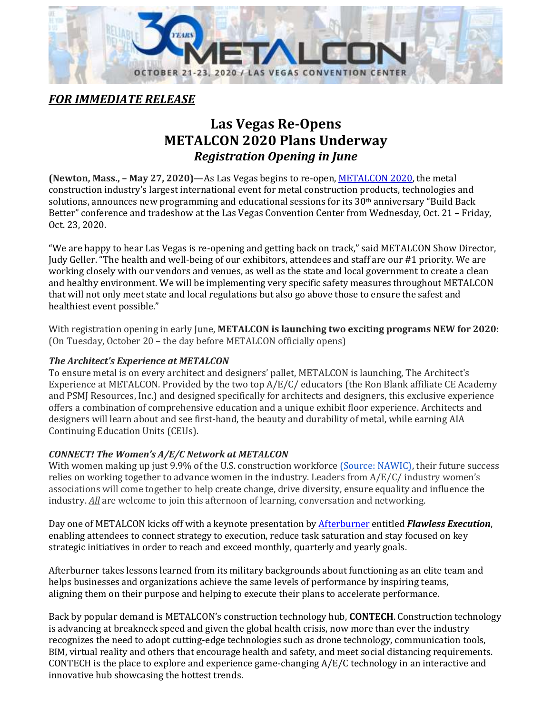

*FOR IMMEDIATE RELEASE*

## **Las Vegas Re-Opens METALCON 2020 Plans Underway** *Registration Opening in June*

**(Newton, Mass., – May 27, 2020)**—As Las Vegas begins to re-open[, METALCON 2020,](http://www.metalcon.com/) the metal construction industry's largest international event for metal construction products, technologies and solutions, announces new programming and educational sessions for its 30th anniversary "Build Back Better" conference and tradeshow at the Las Vegas Convention Center from Wednesday, Oct. 21 – Friday, Oct. 23, 2020.

"We are happy to hear Las Vegas is re-opening and getting back on track," said METALCON Show Director, Judy Geller. "The health and well-being of our exhibitors, attendees and staff are our #1 priority. We are working closely with our vendors and venues, as well as the state and local government to create a clean and healthy environment. We will be implementing very specific safety measures throughout METALCON that will not only meet state and local regulations but also go above those to ensure the safest and healthiest event possible."

With registration opening in early June, **METALCON is launching two exciting programs NEW for 2020:** (On Tuesday, October 20 – the day before METALCON officially opens)

## *The Architect's Experience at METALCON*

To ensure metal is on every architect and designers' pallet, METALCON is launching, The Architect's Experience at METALCON*.* Provided by the two top A/E/C/ educators (the Ron Blank affiliate CE Academy and PSMJ Resources, Inc.) and designed specifically for architects and designers, this exclusive experience offers a combination of comprehensive education and a unique exhibit floor experience. Architects and designers will learn about and see first-hand, the beauty and durability of metal, while earning AIA Continuing Education Units (CEUs).

## *CONNECT! The Women's A/E/C Network at METALCON*

With women making up just 9.9% of the U.S. construction workforce [\(Source: NAWIC\),](https://www.nawic.org/nawic/Statistics.asp?SnID=2) their future success relies on working together to advance women in the industry. Leaders from A/E/C/ industry women's associations will come together to help create change, drive diversity, ensure equality and influence the industry. *All* are welcome to join this afternoon of learning, conversation and networking.

Day one of METALCON kicks off with a keynote presentation b[y Afterburner](https://www.afterburner.com/) entitled *Flawless Execution*, enabling attendees to connect strategy to execution, reduce task saturation and stay focused on key strategic initiatives in order to reach and exceed monthly, quarterly and yearly goals.

Afterburner takes lessons learned from its military backgrounds about functioning as an elite team and helps businesses and organizations achieve the same levels of performance by inspiring teams, aligning them on their purpose and helping to execute their plans to accelerate performance.

Back by popular demand is METALCON's construction technology hub, **CONTECH**. Construction technology is advancing at breakneck speed and given the global health crisis, now more than ever the industry recognizes the need to adopt cutting-edge technologies such as drone technology, communication tools, BIM, virtual reality and others that encourage health and safety, and meet social distancing requirements. CONTECH is the place to explore and experience game-changing A/E/C technology in an interactive and innovative hub showcasing the hottest trends.